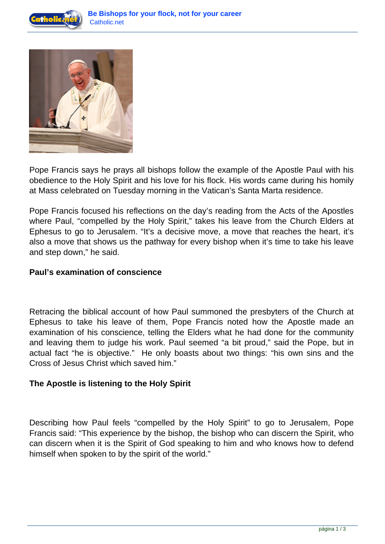



Pope Francis says he prays all bishops follow the example of the Apostle Paul with his obedience to the Holy Spirit and his love for his flock. His words came during his homily at Mass celebrated on Tuesday morning in the Vatican's Santa Marta residence.

Pope Francis focused his reflections on the day's reading from the Acts of the Apostles where Paul, "compelled by the Holy Spirit," takes his leave from the Church Elders at Ephesus to go to Jerusalem. "It's a decisive move, a move that reaches the heart, it's also a move that shows us the pathway for every bishop when it's time to take his leave and step down," he said.

## **Paul's examination of conscience**

Retracing the biblical account of how Paul summoned the presbyters of the Church at Ephesus to take his leave of them, Pope Francis noted how the Apostle made an examination of his conscience, telling the Elders what he had done for the community and leaving them to judge his work. Paul seemed "a bit proud," said the Pope, but in actual fact "he is objective." He only boasts about two things: "his own sins and the Cross of Jesus Christ which saved him."

## **The Apostle is listening to the Holy Spirit**

Describing how Paul feels "compelled by the Holy Spirit" to go to Jerusalem, Pope Francis said: "This experience by the bishop, the bishop who can discern the Spirit, who can discern when it is the Spirit of God speaking to him and who knows how to defend himself when spoken to by the spirit of the world."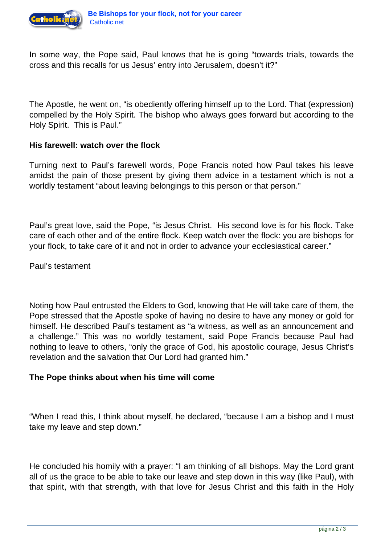

In some way, the Pope said, Paul knows that he is going "towards trials, towards the cross and this recalls for us Jesus' entry into Jerusalem, doesn't it?"

The Apostle, he went on, "is obediently offering himself up to the Lord. That (expression) compelled by the Holy Spirit. The bishop who always goes forward but according to the Holy Spirit. This is Paul."

## **His farewell: watch over the flock**

Turning next to Paul's farewell words, Pope Francis noted how Paul takes his leave amidst the pain of those present by giving them advice in a testament which is not a worldly testament "about leaving belongings to this person or that person."

Paul's great love, said the Pope, "is Jesus Christ. His second love is for his flock. Take care of each other and of the entire flock. Keep watch over the flock: you are bishops for your flock, to take care of it and not in order to advance your ecclesiastical career."

Paul's testament

Noting how Paul entrusted the Elders to God, knowing that He will take care of them, the Pope stressed that the Apostle spoke of having no desire to have any money or gold for himself. He described Paul's testament as "a witness, as well as an announcement and a challenge." This was no worldly testament, said Pope Francis because Paul had nothing to leave to others, "only the grace of God, his apostolic courage, Jesus Christ's revelation and the salvation that Our Lord had granted him."

## **The Pope thinks about when his time will come**

"When I read this, I think about myself, he declared, "because I am a bishop and I must take my leave and step down."

He concluded his homily with a prayer: "I am thinking of all bishops. May the Lord grant all of us the grace to be able to take our leave and step down in this way (like Paul), with that spirit, with that strength, with that love for Jesus Christ and this faith in the Holy